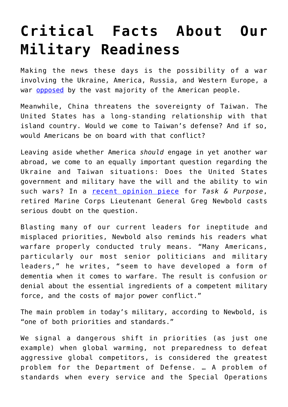## **[Critical Facts About Our](https://intellectualtakeout.org/2022/02/critical-facts-about-our-military-readiness/) [Military Readiness](https://intellectualtakeout.org/2022/02/critical-facts-about-our-military-readiness/)**

Making the news these days is the possibility of a war involving the Ukraine, America, Russia, and Western Europe, a war **opposed** by the vast majority of the American people.

Meanwhile, China threatens the sovereignty of Taiwan. The United States has a long-standing relationship with that island country. Would we come to Taiwan's defense? And if so, would Americans be on board with that conflict?

Leaving aside whether America *should* engage in yet another war abroad, we come to an equally important question regarding the Ukraine and Taiwan situations: Does the United States government and military have the will and the ability to win such wars? In a [recent opinion piece](https://taskandpurpose.com/opinion/critical-military-theory/) for *Task & Purpose*, retired Marine Corps Lieutenant General Greg Newbold casts serious doubt on the question.

Blasting many of our current leaders for ineptitude and misplaced priorities, Newbold also reminds his readers what warfare properly conducted truly means. "Many Americans, particularly our most senior politicians and military leaders," he writes, "seem to have developed a form of dementia when it comes to warfare. The result is confusion or denial about the essential ingredients of a competent military force, and the costs of major power conflict."

The main problem in today's military, according to Newbold, is "one of both priorities and standards."

We signal a dangerous shift in priorities (as just one example) when global warming, not preparedness to defeat aggressive global competitors, is considered the greatest problem for the Department of Defense. … A problem of standards when every service and the Special Operations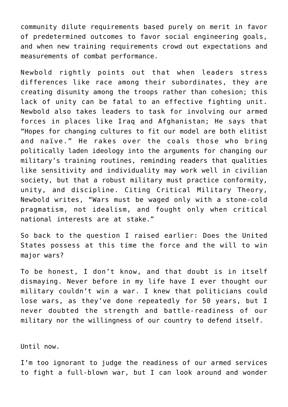community dilute requirements based purely on merit in favor of predetermined outcomes to favor social engineering goals, and when new training requirements crowd out expectations and measurements of combat performance.

Newbold rightly points out that when leaders stress differences like race among their subordinates, they are creating disunity among the troops rather than cohesion; this lack of unity can be fatal to an effective fighting unit. Newbold also takes leaders to task for involving our armed forces in places like Iraq and Afghanistan; He says that "Hopes for changing cultures to fit our model are both elitist and naïve." He rakes over the coals those who bring politically laden ideology into the arguments for changing our military's training routines, reminding readers that qualities like sensitivity and individuality may work well in civilian society, but that a robust military must practice conformity, unity, and discipline. Citing Critical Military Theory, Newbold writes, "Wars must be waged only with a stone-cold pragmatism, not idealism, and fought only when critical national interests are at stake."

So back to the question I raised earlier: Does the United States possess at this time the force and the will to win major wars?

To be honest, I don't know, and that doubt is in itself dismaying. Never before in my life have I ever thought our military couldn't win a war. I knew that politicians could lose wars, as they've done repeatedly for 50 years, but I never doubted the strength and battle-readiness of our military nor the willingness of our country to defend itself.

Until now.

I'm too ignorant to judge the readiness of our armed services to fight a full-blown war, but I can look around and wonder